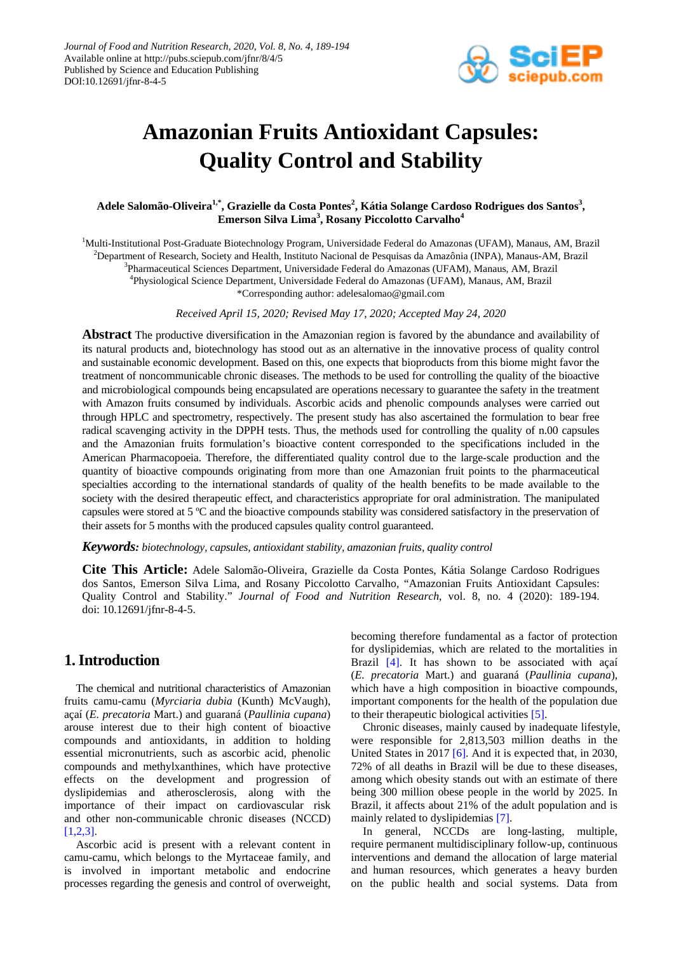

# **Amazonian Fruits Antioxidant Capsules: Quality Control and Stability**

## **Adele Salomão-Oliveira1,\* , Grazielle da Costa Pontes<sup>2</sup> , Kátia Solange Cardoso Rodrigues dos Santos<sup>3</sup> , Emerson Silva Lima<sup>3</sup> , Rosany Piccolotto Carvalho<sup>4</sup>**

<sup>1</sup>Multi-Institutional Post-Graduate Biotechnology Program, Universidade Federal do Amazonas (UFAM), Manaus, AM, Brazil 2 Department of Research, Society and Health, Instituto Nacional de Pesquisas da Amazônia (INPA), Manaus-AM, Brazil 3 Pharmaceutical Sciences Department, Universidade Federal do Amazonas (UFAM), Manaus, AM, Brazil 4 Physiological Science Department, Universidade Federal do Amazonas (UFAM), Manaus, AM, Brazil \*Corresponding author[: adelesalomao@gmail.com](mailto:adelesalomao@gmail.com)

*Received April 15, 2020; Revised May 17, 2020; Accepted May 24, 2020*

**Abstract** The productive diversification in the Amazonian region is favored by the abundance and availability of its natural products and, biotechnology has stood out as an alternative in the innovative process of quality control and sustainable economic development. Based on this, one expects that bioproducts from this biome might favor the treatment of noncommunicable chronic diseases. The methods to be used for controlling the quality of the bioactive and microbiological compounds being encapsulated are operations necessary to guarantee the safety in the treatment with Amazon fruits consumed by individuals. Ascorbic acids and phenolic compounds analyses were carried out through HPLC and spectrometry, respectively. The present study has also ascertained the formulation to bear free radical scavenging activity in the DPPH tests. Thus, the methods used for controlling the quality of n.00 capsules and the Amazonian fruits formulation's bioactive content corresponded to the specifications included in the American Pharmacopoeia. Therefore, the differentiated quality control due to the large-scale production and the quantity of bioactive compounds originating from more than one Amazonian fruit points to the pharmaceutical specialties according to the international standards of quality of the health benefits to be made available to the society with the desired therapeutic effect, and characteristics appropriate for oral administration. The manipulated capsules were stored at 5 ºC and the bioactive compounds stability was considered satisfactory in the preservation of their assets for 5 months with the produced capsules quality control guaranteed.

*Keywords: biotechnology, capsules, antioxidant stability, amazonian fruits, quality control*

**Cite This Article:** Adele Salomão-Oliveira, Grazielle da Costa Pontes, Kátia Solange Cardoso Rodrigues dos Santos, Emerson Silva Lima, and Rosany Piccolotto Carvalho, "Amazonian Fruits Antioxidant Capsules: Quality Control and Stability." *Journal of Food and Nutrition Research*, vol. 8, no. 4 (2020): 189-194. doi: 10.12691/jfnr-8-4-5.

## **1. Introduction**

The chemical and nutritional characteristics of Amazonian fruits camu-camu (*Myrciaria dubia* (Kunth) McVaugh), açaí (*E. precatoria* Mart.) and guaraná (*Paullinia cupana*) arouse interest due to their high content of bioactive compounds and antioxidants, in addition to holding essential micronutrients, such as ascorbic acid, phenolic compounds and methylxanthines, which have protective effects on the development and progression of dyslipidemias and atherosclerosis, along with the importance of their impact on cardiovascular risk and other non-communicable chronic diseases (NCCD) [\[1,2,3\].](#page-4-0)

Ascorbic acid is present with a relevant content in camu-camu, which belongs to the Myrtaceae family, and is involved in important metabolic and endocrine processes regarding the genesis and control of overweight,

becoming therefore fundamental as a factor of protection for dyslipidemias, which are related to the mortalities in Brazil [\[4\].](#page-5-0) It has shown to be associated with açaí (*E. precatoria* Mart.) and guaraná (*Paullinia cupana*), which have a high composition in bioactive compounds, important components for the health of the population due to their therapeutic biological activities [\[5\].](#page-5-1)

Chronic diseases, mainly caused by inadequate lifestyle, were responsible for 2,813,503 million deaths in the United States in 2017 [\[6\].](#page-5-2) And it is expected that, in 2030, 72% of all deaths in Brazil will be due to these diseases, among which obesity stands out with an estimate of there being 300 million obese people in the world by 2025. In Brazil, it affects about 21% of the adult population and is mainly related to dyslipidemias [\[7\].](#page-5-3)

In general, NCCDs are long-lasting, multiple, require permanent multidisciplinary follow-up, continuous interventions and demand the allocation of large material and human resources, which generates a heavy burden on the public health and social systems. Data from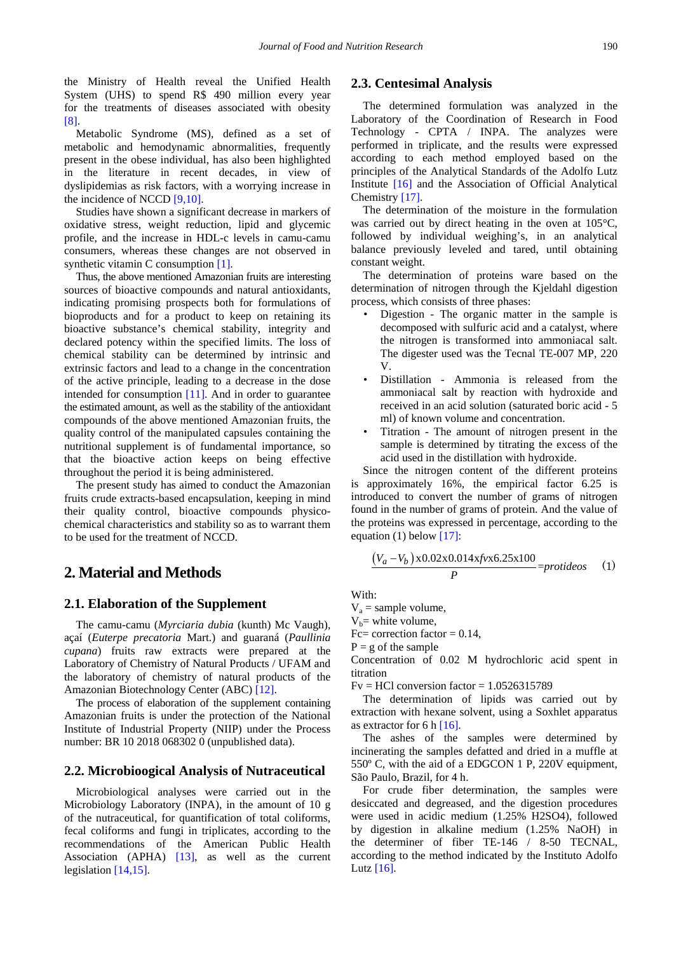the Ministry of Health reveal the Unified Health System (UHS) to spend R\$ 490 million every year for the treatments of diseases associated with obesity [\[8\].](#page-5-4)

Metabolic Syndrome (MS), defined as a set of metabolic and hemodynamic abnormalities, frequently present in the obese individual, has also been highlighted in the literature in recent decades, in view of dyslipidemias as risk factors, with a worrying increase in the incidence of NCCD [\[9,10\].](#page-5-5)

Studies have shown a significant decrease in markers of oxidative stress, weight reduction, lipid and glycemic profile, and the increase in HDL-c levels in camu-camu consumers, whereas these changes are not observed in synthetic vitamin C consumptio[n \[1\].](#page-4-0)

Thus, the above mentioned Amazonian fruits are interesting sources of bioactive compounds and natural antioxidants, indicating promising prospects both for formulations of bioproducts and for a product to keep on retaining its bioactive substance's chemical stability, integrity and declared potency within the specified limits. The loss of chemical stability can be determined by intrinsic and extrinsic factors and lead to a change in the concentration of the active principle, leading to a decrease in the dose intended for consumption [\[11\].](#page-5-6) And in order to guarantee the estimated amount, as well as the stability of the antioxidant compounds of the above mentioned Amazonian fruits, the quality control of the manipulated capsules containing the nutritional supplement is of fundamental importance, so that the bioactive action keeps on being effective throughout the period it is being administered.

The present study has aimed to conduct the Amazonian fruits crude extracts-based encapsulation, keeping in mind their quality control, bioactive compounds physicochemical characteristics and stability so as to warrant them to be used for the treatment of NCCD.

# **2. Material and Methods**

#### **2.1. Elaboration of the Supplement**

The camu-camu (*Myrciaria dubia* (kunth) Mc Vaugh), açaí (*Euterpe precatoria* Mart.) and guaraná (*Paullinia cupana*) fruits raw extracts were prepared at the Laboratory of Chemistry of Natural Products / UFAM and the laboratory of chemistry of natural products of the Amazonian Biotechnology Center (ABC[\) \[12\].](#page-5-7)

The process of elaboration of the supplement containing Amazonian fruits is under the protection of the National Institute of Industrial Property (NIIP) under the Process number: BR 10 2018 068302 0 (unpublished data).

#### **2.2. Microbioogical Analysis of Nutraceutical**

Microbiological analyses were carried out in the Microbiology Laboratory (INPA), in the amount of 10 g of the nutraceutical, for quantification of total coliforms, fecal coliforms and fungi in triplicates, according to the recommendations of the American Public Health Association (APHA) [\[13\],](#page-5-8) as well as the current legislation [\[14,15\].](#page-5-9)

#### **2.3. Centesimal Analysis**

The determined formulation was analyzed in the Laboratory of the Coordination of Research in Food Technology - CPTA / INPA. The analyzes were performed in triplicate, and the results were expressed according to each method employed based on the principles of the Analytical Standards of the Adolfo Lutz Institute [\[16\]](#page-5-10) and the Association of Official Analytical Chemistry [\[17\].](#page-5-11)

The determination of the moisture in the formulation was carried out by direct heating in the oven at 105°C, followed by individual weighing's, in an analytical balance previously leveled and tared, until obtaining constant weight.

The determination of proteins ware based on the determination of nitrogen through the Kjeldahl digestion process, which consists of three phases:

- Digestion The organic matter in the sample is decomposed with sulfuric acid and a catalyst, where the nitrogen is transformed into ammoniacal salt. The digester used was the Tecnal TE-007 MP, 220 V.
- Distillation Ammonia is released from the ammoniacal salt by reaction with hydroxide and received in an acid solution (saturated boric acid - 5 ml) of known volume and concentration.
- Titration The amount of nitrogen present in the sample is determined by titrating the excess of the acid used in the distillation with hydroxide.

Since the nitrogen content of the different proteins is approximately 16%, the empirical factor 6.25 is introduced to convert the number of grams of nitrogen found in the number of grams of protein. And the value of the proteins was expressed in percentage, according to the equation (1) below  $[17]$ :

<span id="page-1-0"></span>
$$
\frac{(V_a - V_b) \times 0.02 \times 0.014 \times f \times 6.25 \times 100}{P} = protideos \quad (1)
$$

With:

 $V_a$  = sample volume,

 $V_b$ = white volume,

Fc= correction factor =  $0.14$ ,

 $P = g$  of the sample

Concentration of 0.02 M hydrochloric acid spent in titration

 $Fv = HCl$  conversion factor = 1.0526315789

The determination of lipids was carried out by extraction with hexane solvent, using a Soxhlet apparatus as extractor for 6 h [\[16\].](#page-5-10)

The ashes of the samples were determined by incinerating the samples defatted and dried in a muffle at 550º C, with the aid of a EDGCON 1 P, 220V equipment, São Paulo, Brazil, for 4 h.

For crude fiber determination, the samples were desiccated and degreased, and the digestion procedures were used in acidic medium (1.25% H2SO4), followed by digestion in alkaline medium (1.25% NaOH) in the determiner of fiber TE-146 / 8-50 TECNAL, according to the method indicated by the Instituto Adolfo Lutz  $[16]$ .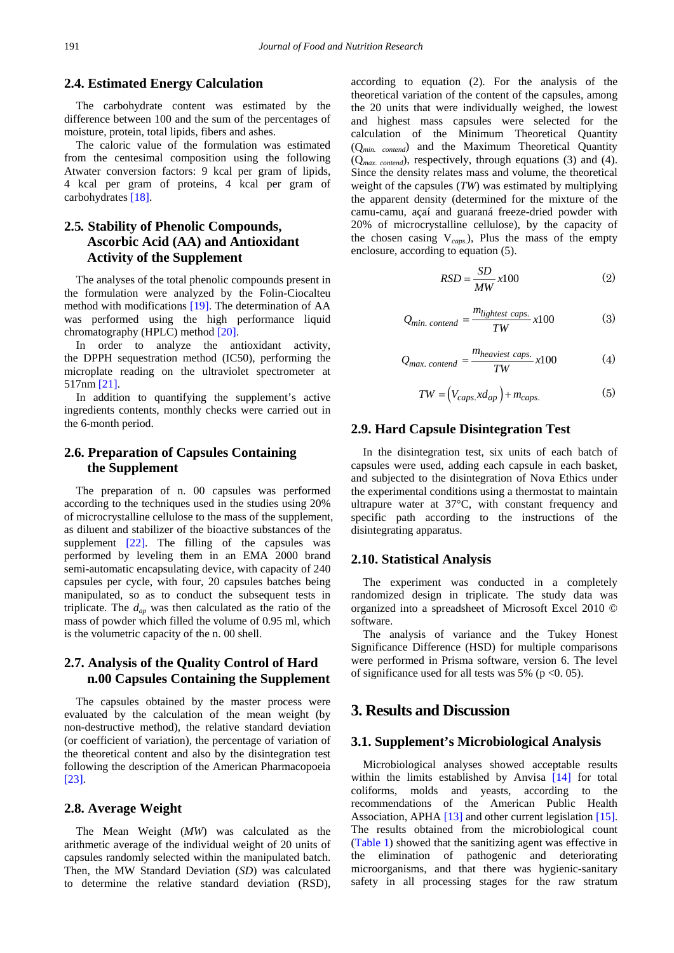## **2.4. Estimated Energy Calculation**

The carbohydrate content was estimated by the difference between 100 and the sum of the percentages of moisture, protein, total lipids, fibers and ashes.

The caloric value of the formulation was estimated from the centesimal composition using the following Atwater conversion factors: 9 kcal per gram of lipids, 4 kcal per gram of proteins, 4 kcal per gram of carbohydrates [\[18\].](#page-5-12)

## **2.5***.* **Stability of Phenolic Compounds, Ascorbic Acid (AA) and Antioxidant Activity of the Supplement**

The analyses of the total phenolic compounds present in the formulation were analyzed by the Folin-Ciocalteu method with modifications [\[19\].](#page-5-13) The determination of AA was performed using the high performance liquid chromatography (HPLC) method [\[20\].](#page-5-14)

In order to analyze the antioxidant activity, the DPPH sequestration method (IC50), performing the microplate reading on the ultraviolet spectrometer at 517nm [\[21\].](#page-5-15)

In addition to quantifying the supplement's active ingredients contents, monthly checks were carried out in the 6-month period.

## **2.6. Preparation of Capsules Containing the Supplement**

The preparation of n. 00 capsules was performed according to the techniques used in the studies using 20% of microcrystalline cellulose to the mass of the supplement, as diluent and stabilizer of the bioactive substances of the supplement  $[22]$ . The filling of the capsules was performed by leveling them in an EMA 2000 brand semi-automatic encapsulating device, with capacity of 240 capsules per cycle, with four, 20 capsules batches being manipulated, so as to conduct the subsequent tests in triplicate. The *dap* was then calculated as the ratio of the mass of powder which filled the volume of 0.95 ml, which is the volumetric capacity of the n. 00 shell.

## **2.7. Analysis of the Quality Control of Hard n.00 Capsules Containing the Supplement**

The capsules obtained by the master process were evaluated by the calculation of the mean weight (by non-destructive method), the relative standard deviation (or coefficient of variation), the percentage of variation of the theoretical content and also by the disintegration test following the description of the American Pharmacopoeia [\[23\].](#page-5-17)

#### **2.8. Average Weight**

The Mean Weight (*MW*) was calculated as the arithmetic average of the individual weight of 20 units of capsules randomly selected within the manipulated batch. Then, the MW Standard Deviation (*SD*) was calculated to determine the relative standard deviation (RSD), according to equation (2). For the analysis of the theoretical variation of the content of the capsules, among the 20 units that were individually weighed, the lowest and highest mass capsules were selected for the calculation of the Minimum Theoretical Quantity (Q*min. contend*) and the Maximum Theoretical Quantity (Q*max. contend*), respectively, through equations (3) and (4). Since the density relates mass and volume, the theoretical weight of the capsules (*TW*) was estimated by multiplying the apparent density (determined for the mixture of the camu-camu, açaí and guaraná freeze-dried powder with 20% of microcrystalline cellulose), by the capacity of the chosen casing V*caps*.), Plus the mass of the empty enclosure, according to equation (5).

$$
RSD = \frac{SD}{MW} x100
$$
 (2)

$$
Q_{min. \; content} = \frac{m_{lightest \; caps.}}{TW} \cdot x100 \tag{3}
$$

$$
Q_{max. \, content} = \frac{m_{heaviest \; caps.}}{TW} x100 \tag{4}
$$

$$
TW = (V_{caps.} x d_{ap}) + m_{caps.} \tag{5}
$$

## **2.9. Hard Capsule Disintegration Test**

In the disintegration test, six units of each batch of capsules were used, adding each capsule in each basket, and subjected to the disintegration of Nova Ethics under the experimental conditions using a thermostat to maintain ultrapure water at 37°C, with constant frequency and specific path according to the instructions of the disintegrating apparatus.

#### **2.10. Statistical Analysis**

The experiment was conducted in a completely randomized design in triplicate. The study data was organized into a spreadsheet of Microsoft Excel 2010 © software.

The analysis of variance and the Tukey Honest Significance Difference (HSD) for multiple comparisons were performed in Prisma software, version 6. The level of significance used for all tests was 5% ( $p < 0.05$ ).

## **3. Results and Discussion**

#### **3.1. Supplement's Microbiological Analysis**

Microbiological analyses showed acceptable results within the limits established by Anvisa [\[14\]](#page-5-9) for total coliforms, molds and yeasts, according to the recommendations of the American Public Health Association, APHA [\[13\]](#page-5-8) and other current legislation [\[15\].](#page-5-18) The results obtained from the microbiological count [\(Table 1\)](#page-3-0) showed that the sanitizing agent was effective in the elimination of pathogenic and deteriorating microorganisms, and that there was hygienic-sanitary safety in all processing stages for the raw stratum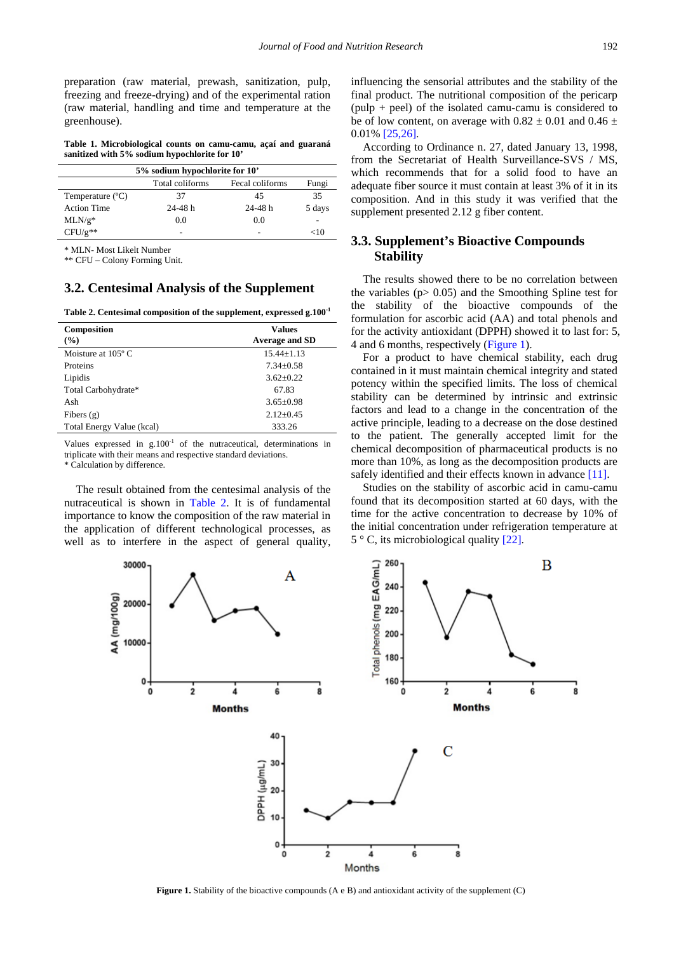preparation (raw material, prewash, sanitization, pulp, freezing and freeze-drying) and of the experimental ration (raw material, handling and time and temperature at the greenhouse).

**Table 1. Microbiological counts on camu-camu, açaí and guaraná sanitized with 5% sodium hypochlorite for 10'**

<span id="page-3-0"></span>

| 5% sodium hypochlorite for 10' |                 |                 |        |  |  |  |
|--------------------------------|-----------------|-----------------|--------|--|--|--|
|                                | Total coliforms | Fecal coliforms | Fungi  |  |  |  |
| Temperature $(^{\circ}C)$      | 37              | 45              | 35     |  |  |  |
| <b>Action Time</b>             | 24-48 h         | $24 - 48$ h     | 5 days |  |  |  |
| $MLN/g*$                       | 0.0             | 0.0             |        |  |  |  |
| $CFU/g**$                      | -               | -               | $<$ 10 |  |  |  |

\* MLN- Most Likelt Number

\*\* CFU – Colony Forming Unit.

#### **3.2. Centesimal Analysis of the Supplement**

**Table 2. Centesimal composition of the supplement, expressed g.100-1**

<span id="page-3-1"></span>

| Composition<br>$($ %)       | <b>Values</b><br><b>Average and SD</b> |
|-----------------------------|----------------------------------------|
| Moisture at $105^{\circ}$ C | $15.44 + 1.13$                         |
| Proteins                    | $7.34 + 0.58$                          |
| Lipidis                     | $3.62 + 0.22$                          |
| Total Carbohydrate*         | 67.83                                  |
| Ash                         | $3.65 \pm 0.98$                        |
| Fibers $(g)$                | $2.12+0.45$                            |
| Total Energy Value (kcal)   | 333.26                                 |

Values expressed in  $g.100<sup>-1</sup>$  of the nutraceutical, determinations in triplicate with their means and respective standard deviations.

\* Calculation by difference.

The result obtained from the centesimal analysis of the nutraceutical is shown in [Table 2.](#page-3-1) It is of fundamental importance to know the composition of the raw material in the application of different technological processes, as well as to interfere in the aspect of general quality,

influencing the sensorial attributes and the stability of the final product. The nutritional composition of the pericarp (pulp + peel) of the isolated camu-camu is considered to be of low content, on average with  $0.82 \pm 0.01$  and  $0.46 \pm 1.0$ 0.01[% \[25,26\].](#page-5-19)

According to Ordinance n. 27, dated January 13, 1998, from the Secretariat of Health Surveillance-SVS / MS, which recommends that for a solid food to have an adequate fiber source it must contain at least 3% of it in its composition. And in this study it was verified that the supplement presented 2.12 g fiber content.

## **3.3. Supplement's Bioactive Compounds Stability**

The results showed there to be no correlation between the variables ( $p > 0.05$ ) and the Smoothing Spline test for the stability of the bioactive compounds of the formulation for ascorbic acid (AA) and total phenols and for the activity antioxidant (DPPH) showed it to last for: 5, 4 and 6 months, respectively [\(Figure 1\)](#page-1-0).

For a product to have chemical stability, each drug contained in it must maintain chemical integrity and stated potency within the specified limits. The loss of chemical stability can be determined by intrinsic and extrinsic factors and lead to a change in the concentration of the active principle, leading to a decrease on the dose destined to the patient. The generally accepted limit for the chemical decomposition of pharmaceutical products is no more than 10%, as long as the decomposition products are safely identified and their effects known in advance [\[11\].](#page-5-6)

Studies on the stability of ascorbic acid in camu-camu found that its decomposition started at 60 days, with the time for the active concentration to decrease by 10% of the initial concentration under refrigeration temperature at 5 ° C, its microbiological quality [\[22\].](#page-5-16)



**Figure 1.** Stability of the bioactive compounds (A e B) and antioxidant activity of the supplement (C)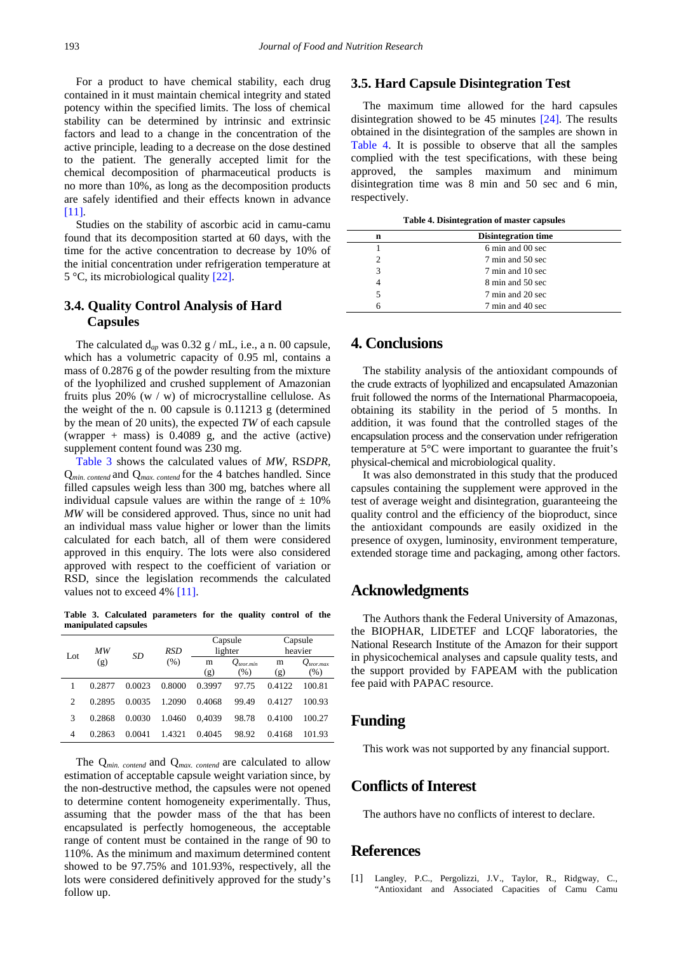For a product to have chemical stability, each drug contained in it must maintain chemical integrity and stated potency within the specified limits. The loss of chemical stability can be determined by intrinsic and extrinsic factors and lead to a change in the concentration of the active principle, leading to a decrease on the dose destined to the patient. The generally accepted limit for the chemical decomposition of pharmaceutical products is no more than 10%, as long as the decomposition products are safely identified and their effects known in advance [\[11\].](#page-5-6)

Studies on the stability of ascorbic acid in camu-camu found that its decomposition started at 60 days, with the time for the active concentration to decrease by 10% of the initial concentration under refrigeration temperature at 5 °C, its microbiological quality [\[22\].](#page-5-16)

## **3.4. Quality Control Analysis of Hard Capsules**

The calculated d*ap* was 0.32 g / mL, i.e., a n. 00 capsule, which has a volumetric capacity of 0.95 ml, contains a mass of 0.2876 g of the powder resulting from the mixture of the lyophilized and crushed supplement of Amazonian fruits plus  $20\%$  (w / w) of microcrystalline cellulose. As the weight of the n. 00 capsule is 0.11213 g (determined by the mean of 20 units), the expected *TW* of each capsule (wrapper + mass) is 0.4089 g, and the active (active) supplement content found was 230 mg.

[Table 3](#page-4-1) shows the calculated values of *MW*, RS*DPR,* Q*min. contend* and Q*max. contend* for the 4 batches handled. Since filled capsules weigh less than 300 mg, batches where all individual capsule values are within the range of  $\pm$  10% *MW* will be considered approved. Thus, since no unit had an individual mass value higher or lower than the limits calculated for each batch, all of them were considered approved in this enquiry. The lots were also considered approved with respect to the coefficient of variation or RSD, since the legislation recommends the calculated values not to exceed 4% [\[11\].](#page-5-6)

**Table 3. Calculated parameters for the quality control of the manipulated capsules**

<span id="page-4-1"></span>

| Lot | ΜW<br>(g) |        | RSD<br>SD<br>(% ) | Capsule<br>lighter |                        | Capsule<br>heavier |                        |
|-----|-----------|--------|-------------------|--------------------|------------------------|--------------------|------------------------|
|     |           |        |                   | m<br>(g)           | $Q_{teor.mín}$<br>(% ) | m<br>(g)           | $Q_{teor.max}$<br>(% ) |
|     | 0.2877    | 0.0023 | 0.8000            | 0.3997             | 97.75                  | 0.4122             | 100.81                 |
| 2   | 0.2895    | 0.0035 | 1.2090            | 0.4068             | 99.49                  | 0.4127             | 100.93                 |
| 3   | 0.2868    | 0.0030 | 1.0460            | 0.4039             | 98.78                  | 0.4100             | 100.27                 |
| 4   | 0.2863    | 0.0041 | 1.4321            | 0.4045             | 98.92                  | 0.4168             | 101.93                 |

The Q*min. contend* and Q*max. contend* are calculated to allow estimation of acceptable capsule weight variation since, by the non-destructive method, the capsules were not opened to determine content homogeneity experimentally. Thus, assuming that the powder mass of the that has been encapsulated is perfectly homogeneous, the acceptable range of content must be contained in the range of 90 to 110%. As the minimum and maximum determined content showed to be 97.75% and 101.93%, respectively, all the lots were considered definitively approved for the study's follow up.

## **3.5. Hard Capsule Disintegration Test**

The maximum time allowed for the hard capsules disintegration showed to be 45 minutes [\[24\].](#page-5-20) The results obtained in the disintegration of the samples are shown in [Table 4.](#page-4-2) It is possible to observe that all the samples complied with the test specifications, with these being approved, the samples maximum and minimum disintegration time was 8 min and 50 sec and 6 min, respectively.

**Table 4. Disintegration of master capsules**

<span id="page-4-2"></span>

| n | <b>Disintegration time</b> |  |
|---|----------------------------|--|
|   | 6 min and 00 sec           |  |
|   | 7 min and 50 sec           |  |
|   | 7 min and 10 sec           |  |
|   | 8 min and 50 sec           |  |
|   | 7 min and 20 sec           |  |
|   | 7 min and 40 sec           |  |

# **4. Conclusions**

The stability analysis of the antioxidant compounds of the crude extracts of lyophilized and encapsulated Amazonian fruit followed the norms of the International Pharmacopoeia, obtaining its stability in the period of 5 months. In addition, it was found that the controlled stages of the encapsulation process and the conservation under refrigeration temperature at 5°C were important to guarantee the fruit's physical-chemical and microbiological quality.

It was also demonstrated in this study that the produced capsules containing the supplement were approved in the test of average weight and disintegration, guaranteeing the quality control and the efficiency of the bioproduct, since the antioxidant compounds are easily oxidized in the presence of oxygen, luminosity, environment temperature, extended storage time and packaging, among other factors.

## **Acknowledgments**

The Authors thank the Federal University of Amazonas, the BIOPHAR, LIDETEF and LCQF laboratories, the National Research Institute of the Amazon for their support in physicochemical analyses and capsule quality tests, and the support provided by FAPEAM with the publication fee paid with PAPAC resource.

## **Funding**

This work was not supported by any financial support.

## **Conflicts of Interest**

The authors have no conflicts of interest to declare.

## **References**

<span id="page-4-0"></span>[1] Langley, P.C., Pergolizzi, J.V., Taylor, R., Ridgway, C., "Antioxidant and Associated Capacities of Camu Camu